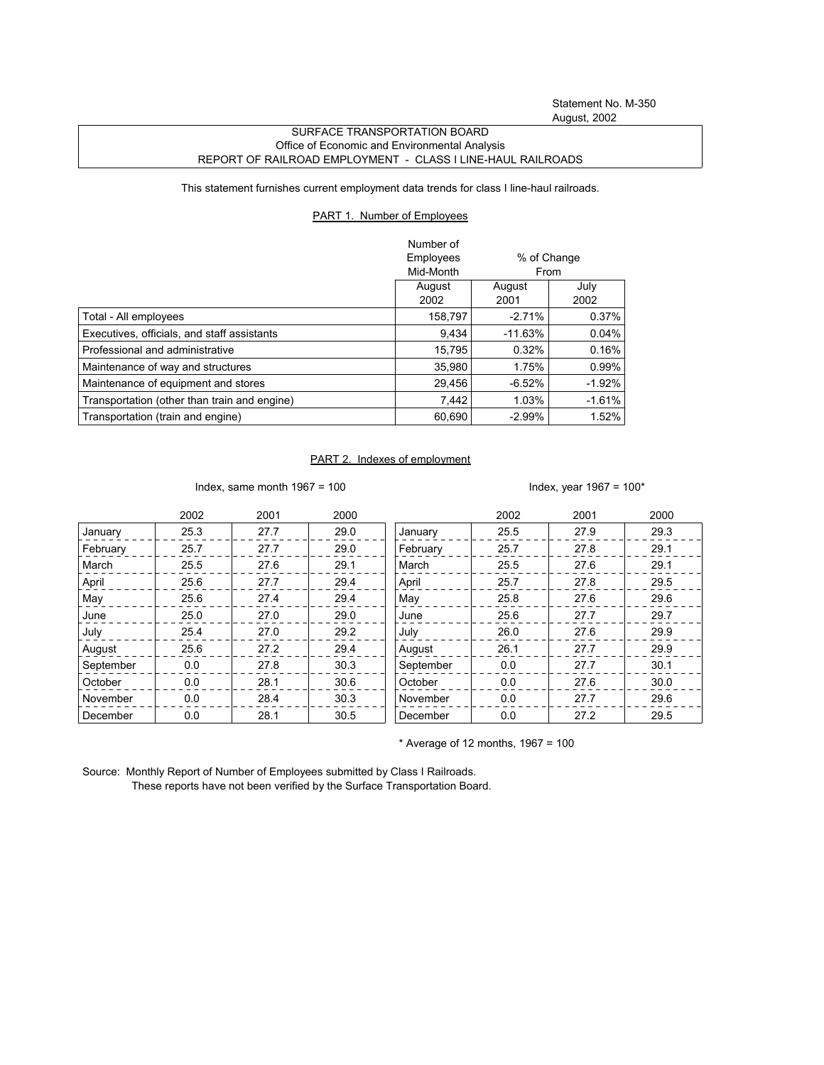## SURFACE TRANSPORTATION BOARD Office of Economic and Environmental Analysis REPORT OF RAILROAD EMPLOYMENT - CLASS I LINE-HAUL RAILROADS

This statement furnishes current employment data trends for class I line-haul railroads.

## PART 1. Number of Employees

|                                              | Number of<br>Employees<br>% of Change<br>Mid-Month<br>From |                |              |
|----------------------------------------------|------------------------------------------------------------|----------------|--------------|
|                                              | August<br>2002                                             | August<br>2001 | July<br>2002 |
| Total - All employees                        | 158,797                                                    | $-2.71%$       | 0.37%        |
| Executives, officials, and staff assistants  | 9.434                                                      | $-11.63%$      | 0.04%        |
| Professional and administrative              | 15.795                                                     | 0.32%          | 0.16%        |
| Maintenance of way and structures            | 35,980                                                     | 1.75%          | 0.99%        |
| Maintenance of equipment and stores          | 29,456                                                     | $-6.52%$       | $-1.92%$     |
| Transportation (other than train and engine) | 7,442                                                      | 1.03%          | $-1.61%$     |
| Transportation (train and engine)            | 60,690                                                     | $-2.99%$       | 1.52%        |

## PART 2. Indexes of employment

Index, same month 1967 = 100  $\blacksquare$ 

|           | 2002 | 2001 | 2000 |           | 2002 | 2001 | 2000 |
|-----------|------|------|------|-----------|------|------|------|
| January   | 25.3 | 27.7 | 29.0 | January   | 25.5 | 27.9 | 29.3 |
| February  | 25.7 | 27.7 | 29.0 | February  | 25.7 | 27.8 | 29.1 |
| March     | 25.5 | 27.6 | 29.1 | March     | 25.5 | 27.6 | 29.1 |
| April     | 25.6 | 27.7 | 29.4 | April     | 25.7 | 27.8 | 29.5 |
| May       | 25.6 | 27.4 | 29.4 | May       | 25.8 | 27.6 | 29.6 |
| June      | 25.0 | 27.0 | 29.0 | June      | 25.6 | 27.7 | 29.7 |
| July      | 25.4 | 27.0 | 29.2 | July      | 26.0 | 27.6 | 29.9 |
| August    | 25.6 | 27.2 | 29.4 | August    | 26.1 | 27.7 | 29.9 |
| September | 0.0  | 27.8 | 30.3 | September | 0.0  | 27.7 | 30.1 |
| October   | 0.0  | 28.1 | 30.6 | October   | 0.0  | 27.6 | 30.0 |
| November  | 0.0  | 28.4 | 30.3 | November  | 0.0  | 27.7 | 29.6 |
| December  | 0.0  | 28.1 | 30.5 | December  | 0.0  | 27.2 | 29.5 |

 $*$  Average of 12 months, 1967 = 100

Source: Monthly Report of Number of Employees submitted by Class I Railroads. These reports have not been verified by the Surface Transportation Board.